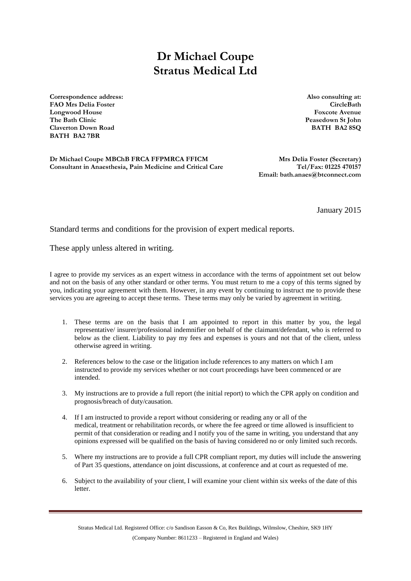## **Dr Michael Coupe Stratus Medical Ltd**

**Correspondence address: Also consulting at: FAO Mrs Delia Foster CircleBath Longwood House Foxcote Avenue The Bath Clinic Peasedown St John Claverton Down Road BATH BA2 8SQ BATH BA2 7BR**

**Dr Michael Coupe MBChB FRCA FFPMRCA FFICM Mrs Delia Foster (Secretary) Consultant in Anaesthesia, Pain Medicine and Critical Care Tel/Fax: 01225 470157**

**Email: bath.anaes@btconnect.com**

January 2015

Standard terms and conditions for the provision of expert medical reports.

These apply unless altered in writing.

I agree to provide my services as an expert witness in accordance with the terms of appointment set out below and not on the basis of any other standard or other terms. You must return to me a copy of this terms signed by you, indicating your agreement with them. However, in any event by continuing to instruct me to provide these services you are agreeing to accept these terms. These terms may only be varied by agreement in writing.

- 1. These terms are on the basis that I am appointed to report in this matter by you, the legal representative/ insurer/professional indemnifier on behalf of the claimant/defendant, who is referred to below as the client. Liability to pay my fees and expenses is yours and not that of the client, unless otherwise agreed in writing.
- 2. References below to the case or the litigation include references to any matters on which I am instructed to provide my services whether or not court proceedings have been commenced or are intended.
- 3. My instructions are to provide a full report (the initial report) to which the CPR apply on condition and prognosis/breach of duty/causation.
- 4. If I am instructed to provide a report without considering or reading any or all of the medical, treatment or rehabilitation records, or where the fee agreed or time allowed is insufficient to permit of that consideration or reading and I notify you of the same in writing, you understand that any opinions expressed will be qualified on the basis of having considered no or only limited such records.
- 5. Where my instructions are to provide a full CPR compliant report, my duties will include the answering of Part 35 questions, attendance on joint discussions, at conference and at court as requested of me.
- 6. Subject to the availability of your client, I will examine your client within six weeks of the date of this **letter**

Stratus Medical Ltd. Registered Office: c/o Sandison Easson & Co, Rex Buildings, Wilmslow, Cheshire, SK9 1HY (Company Number: 8611233 – Registered in England and Wales)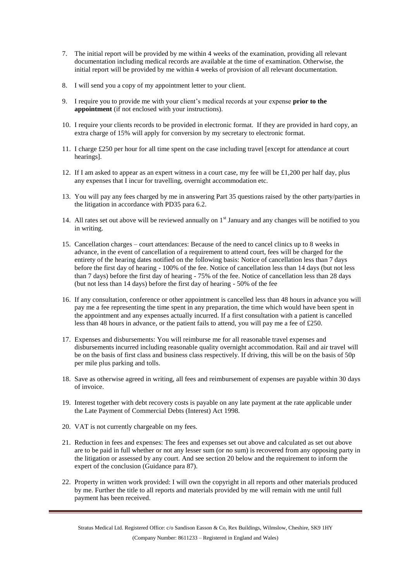- 7. The initial report will be provided by me within 4 weeks of the examination, providing all relevant documentation including medical records are available at the time of examination. Otherwise, the initial report will be provided by me within 4 weeks of provision of all relevant documentation.
- 8. I will send you a copy of my appointment letter to your client.
- 9. I require you to provide me with your client's medical records at your expense **prior to the appointment** (if not enclosed with your instructions).
- 10. I require your clients records to be provided in electronic format. If they are provided in hard copy, an extra charge of 15% will apply for conversion by my secretary to electronic format.
- 11. I charge £250 per hour for all time spent on the case including travel [except for attendance at court hearings].
- 12. If I am asked to appear as an expert witness in a court case, my fee will be £1,200 per half day, plus any expenses that I incur for travelling, overnight accommodation etc.
- 13. You will pay any fees charged by me in answering Part 35 questions raised by the other party/parties in the litigation in accordance with PD35 para 6.2.
- 14. All rates set out above will be reviewed annually on  $1<sup>st</sup>$  January and any changes will be notified to you in writing.
- 15. Cancellation charges court attendances: Because of the need to cancel clinics up to 8 weeks in advance, in the event of cancellation of a requirement to attend court, fees will be charged for the entirety of the hearing dates notified on the following basis: Notice of cancellation less than 7 days before the first day of hearing - 100% of the fee. Notice of cancellation less than 14 days (but not less than 7 days) before the first day of hearing - 75% of the fee. Notice of cancellation less than 28 days (but not less than 14 days) before the first day of hearing - 50% of the fee
- 16. If any consultation, conference or other appointment is cancelled less than 48 hours in advance you will pay me a fee representing the time spent in any preparation, the time which would have been spent in the appointment and any expenses actually incurred. If a first consultation with a patient is cancelled less than 48 hours in advance, or the patient fails to attend, you will pay me a fee of £250.
- 17. Expenses and disbursements: You will reimburse me for all reasonable travel expenses and disbursements incurred including reasonable quality overnight accommodation. Rail and air travel will be on the basis of first class and business class respectively. If driving, this will be on the basis of 50p per mile plus parking and tolls.
- 18. Save as otherwise agreed in writing, all fees and reimbursement of expenses are payable within 30 days of invoice.
- 19. Interest together with debt recovery costs is payable on any late payment at the rate applicable under the Late Payment of Commercial Debts (Interest) Act 1998.
- 20. VAT is not currently chargeable on my fees.
- 21. Reduction in fees and expenses: The fees and expenses set out above and calculated as set out above are to be paid in full whether or not any lesser sum (or no sum) is recovered from any opposing party in the litigation or assessed by any court. And see section 20 below and the requirement to inform the expert of the conclusion (Guidance para 87).
- 22. Property in written work provided: I will own the copyright in all reports and other materials produced by me. Further the title to all reports and materials provided by me will remain with me until full payment has been received.